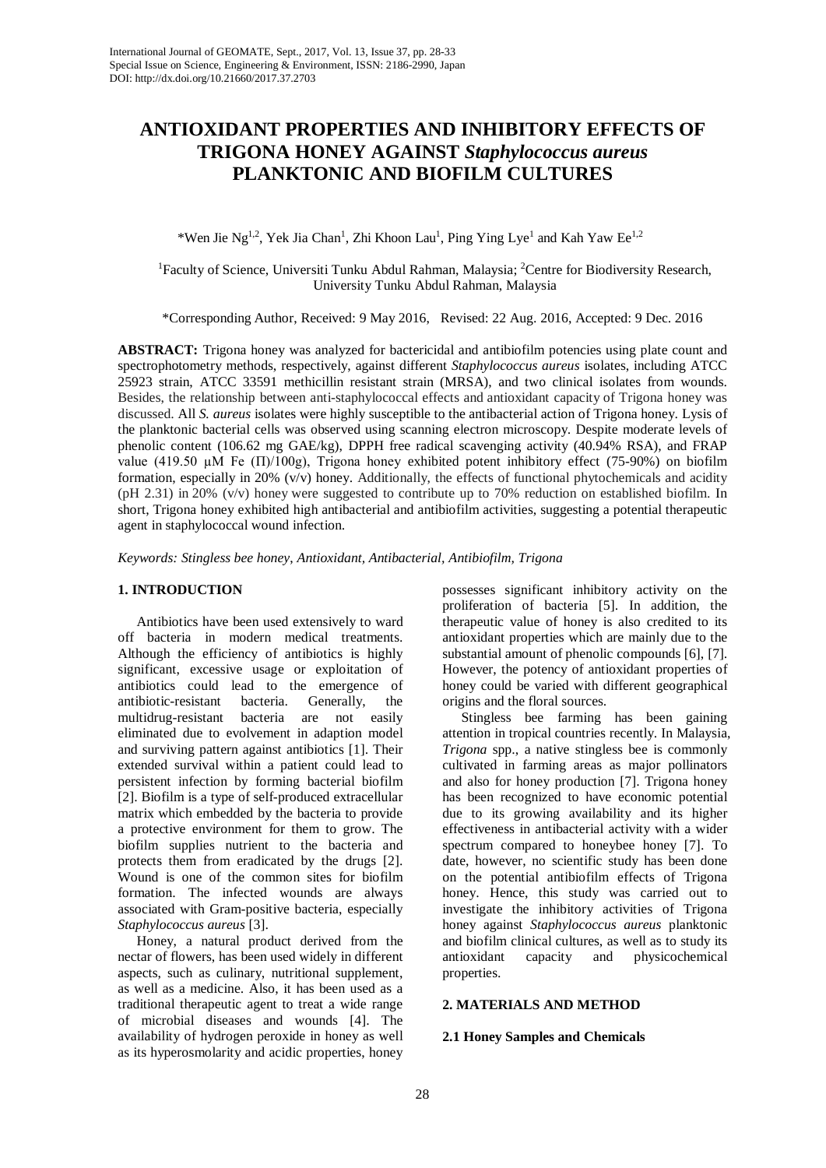# **ANTIOXIDANT PROPERTIES AND INHIBITORY EFFECTS OF TRIGONA HONEY AGAINST** *Staphylococcus aureus* **PLANKTONIC AND BIOFILM CULTURES**

\*Wen Jie Ng<sup>1,2</sup>, Yek Jia Chan<sup>1</sup>, Zhi Khoon Lau<sup>1</sup>, Ping Ying Lye<sup>1</sup> and Kah Yaw Ee<sup>1,2</sup>

<sup>1</sup>Faculty of Science, Universiti Tunku Abdul Rahman, Malaysia; <sup>2</sup>Centre for Biodiversity Research, University Tunku Abdul Rahman, Malaysia

\*Corresponding Author, Received: 9 May 2016, Revised: 22 Aug. 2016, Accepted: 9 Dec. 2016

**ABSTRACT:** Trigona honey was analyzed for bactericidal and antibiofilm potencies using plate count and spectrophotometry methods, respectively, against different *Staphylococcus aureus* isolates, including ATCC 25923 strain, ATCC 33591 methicillin resistant strain (MRSA), and two clinical isolates from wounds. Besides, the relationship between anti-staphylococcal effects and antioxidant capacity of Trigona honey was discussed. All *S. aureus* isolates were highly susceptible to the antibacterial action of Trigona honey. Lysis of the planktonic bacterial cells was observed using scanning electron microscopy. Despite moderate levels of phenolic content (106.62 mg GAE/kg), DPPH free radical scavenging activity (40.94% RSA), and FRAP value (419.50  $\mu$ M Fe ( $\Pi$ )/100g), Trigona honey exhibited potent inhibitory effect (75-90%) on biofilm formation, especially in 20% (v/v) honey. Additionally, the effects of functional phytochemicals and acidity (pH 2.31) in 20% (v/v) honey were suggested to contribute up to 70% reduction on established biofilm. In short, Trigona honey exhibited high antibacterial and antibiofilm activities, suggesting a potential therapeutic agent in staphylococcal wound infection.

*Keywords: Stingless bee honey*, *Antioxidant, Antibacterial, Antibiofilm, Trigona*

## **1. INTRODUCTION**

Antibiotics have been used extensively to ward off bacteria in modern medical treatments. Although the efficiency of antibiotics is highly significant, excessive usage or exploitation of antibiotics could lead to the emergence of antibiotic-resistant bacteria. Generally, the multidrug-resistant bacteria are not easily eliminated due to evolvement in adaption model and surviving pattern against antibiotics [1]. Their extended survival within a patient could lead to persistent infection by forming bacterial biofilm [2]. Biofilm is a type of self-produced extracellular matrix which embedded by the bacteria to provide a protective environment for them to grow. The biofilm supplies nutrient to the bacteria and protects them from eradicated by the drugs [2]. Wound is one of the common sites for biofilm formation. The infected wounds are always associated with Gram-positive bacteria, especially *Staphylococcus aureus* [3].

Honey, a natural product derived from the nectar of flowers, has been used widely in different aspects, such as culinary, nutritional supplement, as well as a medicine. Also, it has been used as a traditional therapeutic agent to treat a wide range of microbial diseases and wounds [4]. The availability of hydrogen peroxide in honey as well as its hyperosmolarity and acidic properties, honey

possesses significant inhibitory activity on the proliferation of bacteria [5]. In addition, the therapeutic value of honey is also credited to its antioxidant properties which are mainly due to the substantial amount of phenolic compounds [6], [7]. However, the potency of antioxidant properties of honey could be varied with different geographical origins and the floral sources.

Stingless bee farming has been gaining attention in tropical countries recently. In Malaysia, *Trigona* spp., a native stingless bee is commonly cultivated in farming areas as major pollinators and also for honey production [7]. Trigona honey has been recognized to have economic potential due to its growing availability and its higher effectiveness in antibacterial activity with a wider spectrum compared to honeybee honey [7]. To date, however, no scientific study has been done on the potential antibiofilm effects of Trigona honey. Hence, this study was carried out to investigate the inhibitory activities of Trigona honey against *Staphylococcus aureus* planktonic and biofilm clinical cultures, as well as to study its antioxidant capacity and physicochemical properties.

## **2. MATERIALS AND METHOD**

# **2.1 Honey Samples and Chemicals**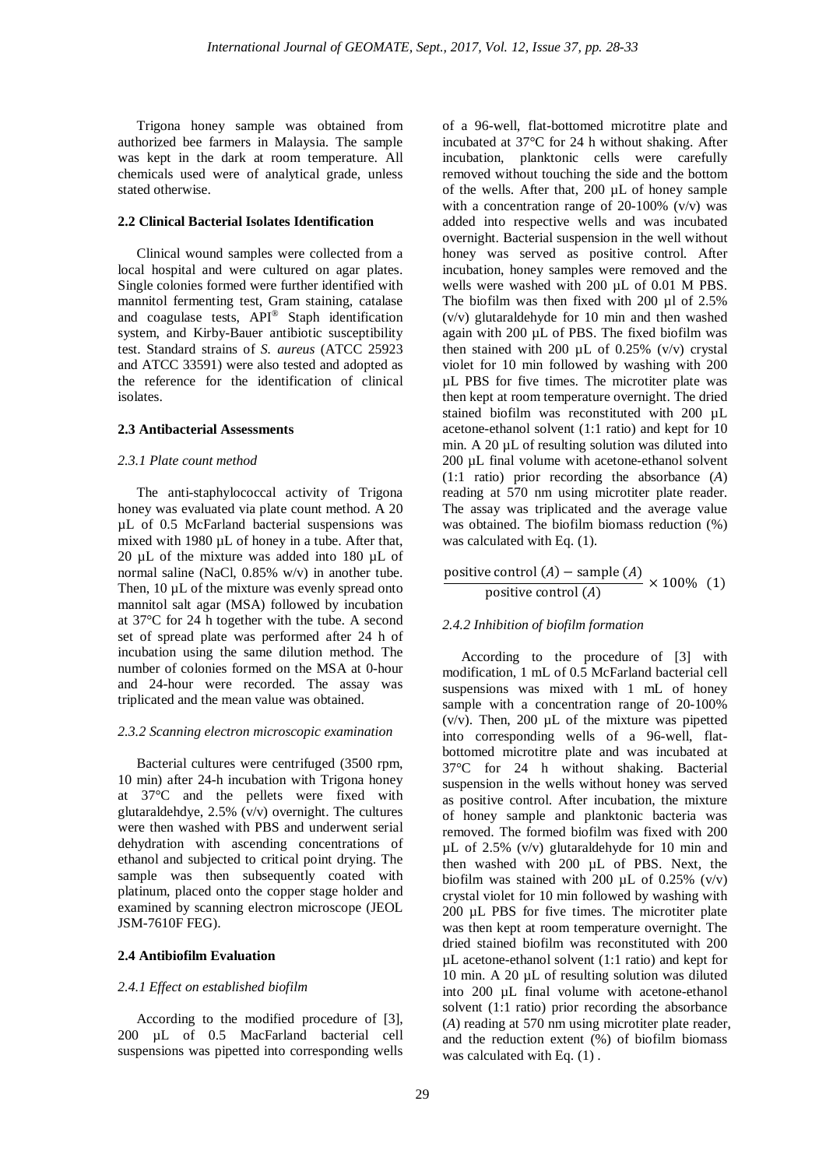Trigona honey sample was obtained from authorized bee farmers in Malaysia. The sample was kept in the dark at room temperature. All chemicals used were of analytical grade, unless stated otherwise.

# **2.2 Clinical Bacterial Isolates Identification**

Clinical wound samples were collected from a local hospital and were cultured on agar plates. Single colonies formed were further identified with mannitol fermenting test, Gram staining, catalase and coagulase tests, API® Staph identification system, and Kirby-Bauer antibiotic susceptibility test. Standard strains of *S. aureus* (ATCC 25923 and ATCC 33591) were also tested and adopted as the reference for the identification of clinical isolates.

## **2.3 Antibacterial Assessments**

### *2.3.1 Plate count method*

The anti-staphylococcal activity of Trigona honey was evaluated via plate count method. A 20 µL of 0.5 McFarland bacterial suspensions was mixed with 1980 µL of honey in a tube. After that, 20 µL of the mixture was added into 180 µL of normal saline (NaCl, 0.85% w/v) in another tube. Then, 10 uL of the mixture was evenly spread onto mannitol salt agar (MSA) followed by incubation at 37°C for 24 h together with the tube. A second set of spread plate was performed after 24 h of incubation using the same dilution method. The number of colonies formed on the MSA at 0-hour and 24-hour were recorded. The assay was triplicated and the mean value was obtained.

#### *2.3.2 Scanning electron microscopic examination*

Bacterial cultures were centrifuged (3500 rpm, 10 min) after 24-h incubation with Trigona honey at 37°C and the pellets were fixed with glutaraldehdye, 2.5% (v/v) overnight. The cultures were then washed with PBS and underwent serial dehydration with ascending concentrations of ethanol and subjected to critical point drying. The sample was then subsequently coated with platinum, placed onto the copper stage holder and examined by scanning electron microscope (JEOL JSM-7610F FEG).

#### **2.4 Antibiofilm Evaluation**

#### *2.4.1 Effect on established biofilm*

According to the modified procedure of [3], 200 µL of 0.5 MacFarland bacterial cell suspensions was pipetted into corresponding wells

of a 96-well, flat-bottomed microtitre plate and incubated at 37°C for 24 h without shaking. After incubation, planktonic cells were carefully removed without touching the side and the bottom of the wells. After that, 200 µL of honey sample with a concentration range of  $20-100\%$  (v/v) was added into respective wells and was incubated overnight. Bacterial suspension in the well without honey was served as positive control. After incubation, honey samples were removed and the wells were washed with 200  $\mu$ L of 0.01 M PBS. The biofilm was then fixed with 200 µl of 2.5% (v/v) glutaraldehyde for 10 min and then washed again with 200 µL of PBS. The fixed biofilm was then stained with 200  $\mu$ L of 0.25% (v/v) crystal violet for 10 min followed by washing with 200 µL PBS for five times. The microtiter plate was then kept at room temperature overnight. The dried stained biofilm was reconstituted with 200 µL acetone-ethanol solvent (1:1 ratio) and kept for 10 min. A 20  $\mu$ L of resulting solution was diluted into 200 µL final volume with acetone-ethanol solvent (1:1 ratio) prior recording the absorbance (*A*) reading at 570 nm using microtiter plate reader. The assay was triplicated and the average value was obtained. The biofilm biomass reduction (%) was calculated with Eq.  $(1)$ .

positive control (A) – sample (A) 
$$
\times
$$
 100% (1) positive control (A)

#### *2.4.2 Inhibition of biofilm formation*

According to the procedure of [3] with modification, 1 mL of 0.5 McFarland bacterial cell suspensions was mixed with 1 mL of honey sample with a concentration range of 20-100%  $(v/v)$ . Then, 200  $\mu$ L of the mixture was pipetted into corresponding wells of a 96-well, flatbottomed microtitre plate and was incubated at 37°C for 24 h without shaking. Bacterial suspension in the wells without honey was served as positive control. After incubation, the mixture of honey sample and planktonic bacteria was removed. The formed biofilm was fixed with 200 µL of 2.5% (v/v) glutaraldehyde for 10 min and then washed with 200 µL of PBS. Next, the biofilm was stained with 200  $\mu$ L of 0.25% (v/v) crystal violet for 10 min followed by washing with 200 µL PBS for five times. The microtiter plate was then kept at room temperature overnight. The dried stained biofilm was reconstituted with 200 µL acetone-ethanol solvent (1:1 ratio) and kept for 10 min. A 20 µL of resulting solution was diluted into 200 µL final volume with acetone-ethanol solvent (1:1 ratio) prior recording the absorbance (*A*) reading at 570 nm using microtiter plate reader, and the reduction extent (%) of biofilm biomass was calculated with Eq.  $(1)$ .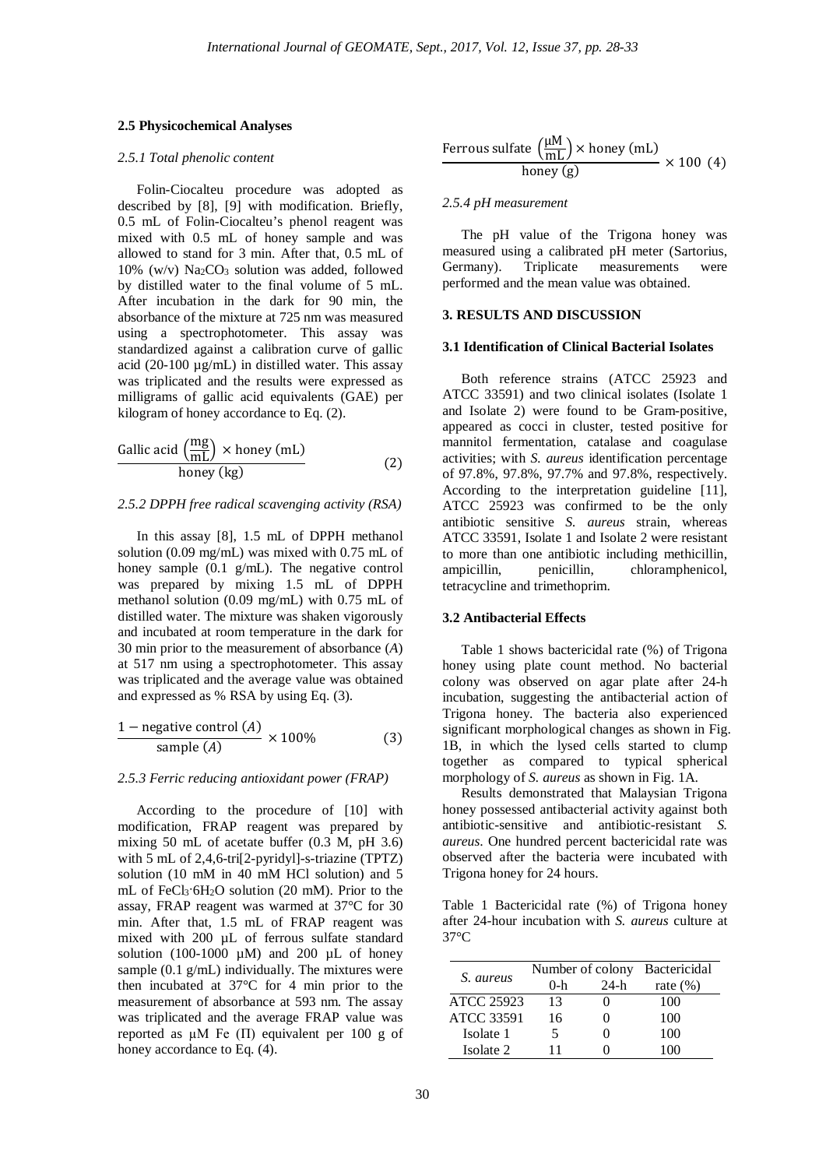#### **2.5 Physicochemical Analyses**

### *2.5.1 Total phenolic content*

Folin-Ciocalteu procedure was adopted as described by [8], [9] with modification. Briefly, 0.5 mL of Folin-Ciocalteu's phenol reagent was mixed with 0.5 mL of honey sample and was allowed to stand for 3 min. After that, 0.5 mL of  $10\%$  (w/v) Na<sub>2</sub>CO<sub>3</sub> solution was added, followed by distilled water to the final volume of 5 mL. After incubation in the dark for 90 min, the absorbance of the mixture at 725 nm was measured using a spectrophotometer. This assay was standardized against a calibration curve of gallic acid (20-100 µg/mL) in distilled water. This assay was triplicated and the results were expressed as milligrams of gallic acid equivalents (GAE) per kilogram of honey accordance to Eq. (2).

Gallic acid 
$$
\left(\frac{mg}{mL}\right) \times \text{honey (mL)}
$$
  
honey (kg) (2)

#### *2.5.2 DPPH free radical scavenging activity (RSA)*

In this assay [8], 1.5 mL of DPPH methanol solution (0.09 mg/mL) was mixed with 0.75 mL of honey sample (0.1 g/mL). The negative control was prepared by mixing 1.5 mL of DPPH methanol solution (0.09 mg/mL) with 0.75 mL of distilled water. The mixture was shaken vigorously and incubated at room temperature in the dark for 30 min prior to the measurement of absorbance (*A*) at 517 nm using a spectrophotometer. This assay was triplicated and the average value was obtained and expressed as % RSA by using Eq. (3).

$$
\frac{1 - \text{negative control (A)}}{\text{sample (A)}} \times 100\% \tag{3}
$$

#### *2.5.3 Ferric reducing antioxidant power (FRAP)*

According to the procedure of [10] with modification, FRAP reagent was prepared by mixing 50 mL of acetate buffer (0.3 M, pH 3.6) with 5 mL of 2,4,6-tri[2-pyridyl]-s-triazine (TPTZ) solution (10 mM in 40 mM HCl solution) and 5 mL of FeCl3·6H2O solution (20 mM). Prior to the assay, FRAP reagent was warmed at 37°C for 30 min. After that, 1.5 mL of FRAP reagent was mixed with 200 uL of ferrous sulfate standard solution (100-1000  $\mu$ M) and 200  $\mu$ L of honey sample  $(0.1 \text{ g/mL})$  individually. The mixtures were then incubated at 37°C for 4 min prior to the measurement of absorbance at 593 nm. The assay was triplicated and the average FRAP value was reported as  $\mu$ M Fe ( $\Pi$ ) equivalent per 100 g of honey accordance to Eq. (4).

Ferrous sulfate 
$$
\left(\frac{\mu M}{mL}\right) \times \text{honey (mL)}
$$
  
honey (g)  $\times 100$  (4)

# *2.5.4 pH measurement*

The pH value of the Trigona honey was measured using a calibrated pH meter (Sartorius, Germany). Triplicate measurements were performed and the mean value was obtained.

# **3. RESULTS AND DISCUSSION**

## **3.1 Identification of Clinical Bacterial Isolates**

Both reference strains (ATCC 25923 and ATCC 33591) and two clinical isolates (Isolate 1 and Isolate 2) were found to be Gram-positive, appeared as cocci in cluster, tested positive for mannitol fermentation, catalase and coagulase activities; with *S. aureus* identification percentage of 97.8%, 97.8%, 97.7% and 97.8%, respectively. According to the interpretation guideline [11], ATCC 25923 was confirmed to be the only antibiotic sensitive *S. aureus* strain, whereas ATCC 33591, Isolate 1 and Isolate 2 were resistant to more than one antibiotic including methicillin, chloramphenicol, tetracycline and trimethoprim.

#### **3.2 Antibacterial Effects**

Table 1 shows bactericidal rate (%) of Trigona honey using plate count method. No bacterial colony was observed on agar plate after 24-h incubation, suggesting the antibacterial action of Trigona honey. The bacteria also experienced significant morphological changes as shown in Fig. 1B, in which the lysed cells started to clump together as compared to typical spherical morphology of *S. aureus* as shown in Fig. 1A.

Results demonstrated that Malaysian Trigona honey possessed antibacterial activity against both antibiotic-sensitive and antibiotic-resistant *S. aureus*. One hundred percent bactericidal rate was observed after the bacteria were incubated with Trigona honey for 24 hours.

Table 1 Bactericidal rate (%) of Trigona honey after 24-hour incubation with *S. aureus* culture at 37°C

| S. aureus         | Number of colony |      | <b>Bactericidal</b> |
|-------------------|------------------|------|---------------------|
|                   | $0-h$            | 24-h | rate $(\%)$         |
| ATCC 25923        | 13               |      | 100                 |
| <b>ATCC 33591</b> | 16               |      | 100                 |
| Isolate 1         | 5                |      | 100                 |
| Isolate 2         | 11               |      | 100                 |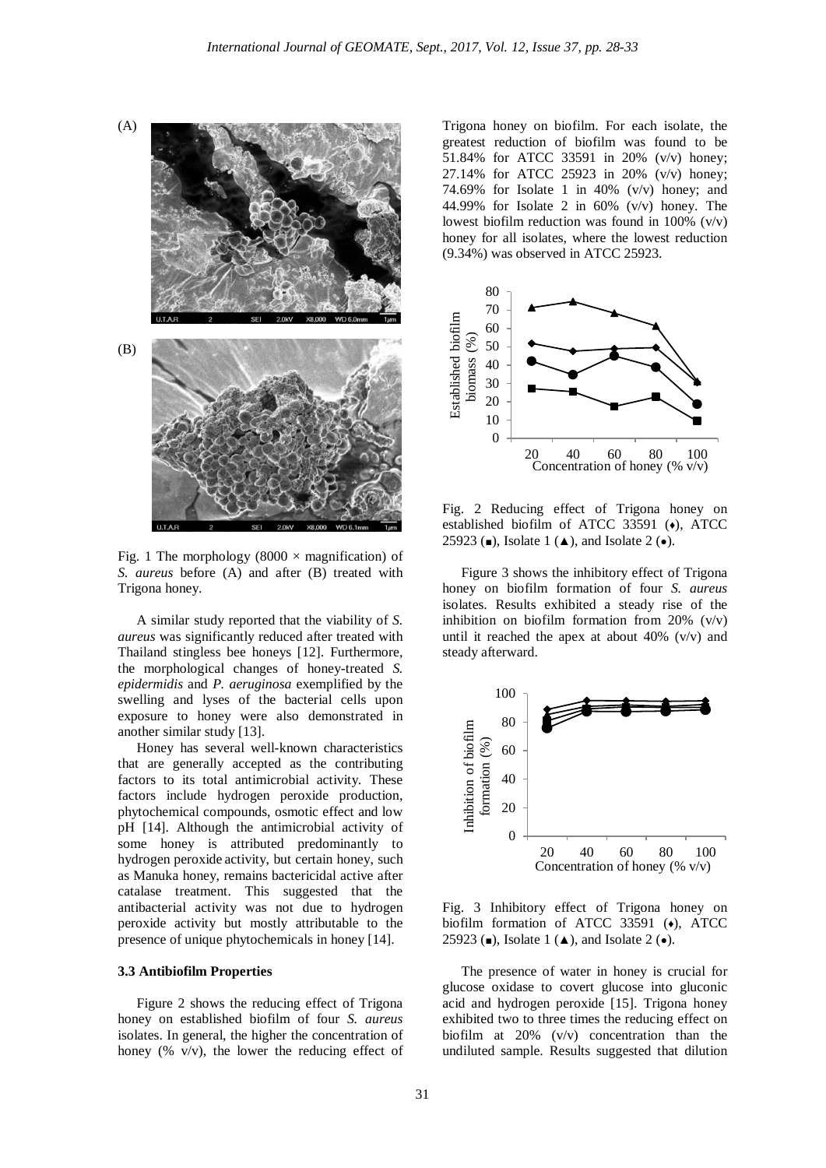

Fig. 1 The morphology (8000  $\times$  magnification) of *S. aureus* before (A) and after (B) treated with Trigona honey.

A similar study reported that the viability of *S. aureus* was significantly reduced after treated with Thailand stingless bee honeys [12]. Furthermore, the morphological changes of honey-treated *S. epidermidis* and *P. aeruginosa* exemplified by the swelling and lyses of the bacterial cells upon exposure to honey were also demonstrated in another similar study [13].

Honey has several well-known characteristics that are generally accepted as the contributing factors to its total antimicrobial activity. These factors include hydrogen peroxide production, phytochemical compounds, osmotic effect and low pH [14]. Although the antimicrobial activity of some honey is attributed predominantly to hydrogen peroxide activity, but certain honey, such as Manuka honey, remains bactericidal active after catalase treatment. This suggested that the antibacterial activity was not due to hydrogen peroxide activity but mostly attributable to the presence of unique phytochemicals in honey [14].

#### **3.3 Antibiofilm Properties**

Figure 2 shows the reducing effect of Trigona honey on established biofilm of four *S. aureus* isolates. In general, the higher the concentration of honey (%  $v/v$ ), the lower the reducing effect of

Trigona honey on biofilm. For each isolate, the greatest reduction of biofilm was found to be 51.84% for ATCC 33591 in 20% (v/v) honey; 27.14% for ATCC 25923 in 20% (v/v) honey; 74.69% for Isolate 1 in 40%  $(v/v)$  honey; and 44.99% for Isolate 2 in  $60\%$  (v/v) honey. The lowest biofilm reduction was found in  $100\%$  (v/v) honey for all isolates, where the lowest reduction (9.34%) was observed in ATCC 25923.



Fig. 2 Reducing effect of Trigona honey on established biofilm of ATCC 33591 (♦), ATCC 25923 ( $\blacksquare$ ), Isolate 1 ( $\blacktriangle$ ), and Isolate 2 ( $\bullet$ ).

Figure 3 shows the inhibitory effect of Trigona honey on biofilm formation of four *S. aureus* isolates. Results exhibited a steady rise of the inhibition on biofilm formation from 20%  $(v/v)$ until it reached the apex at about  $40\%$  (v/v) and steady afterward.



Fig. 3 Inhibitory effect of Trigona honey on biofilm formation of ATCC 33591 ( $\leftrightarrow$ ), ATCC 25923 (■), Isolate 1 (▲), and Isolate 2 (●).

The presence of water in honey is crucial for glucose oxidase to covert glucose into gluconic acid and hydrogen peroxide [15]. Trigona honey exhibited two to three times the reducing effect on biofilm at 20% (v/v) concentration than the undiluted sample. Results suggested that dilution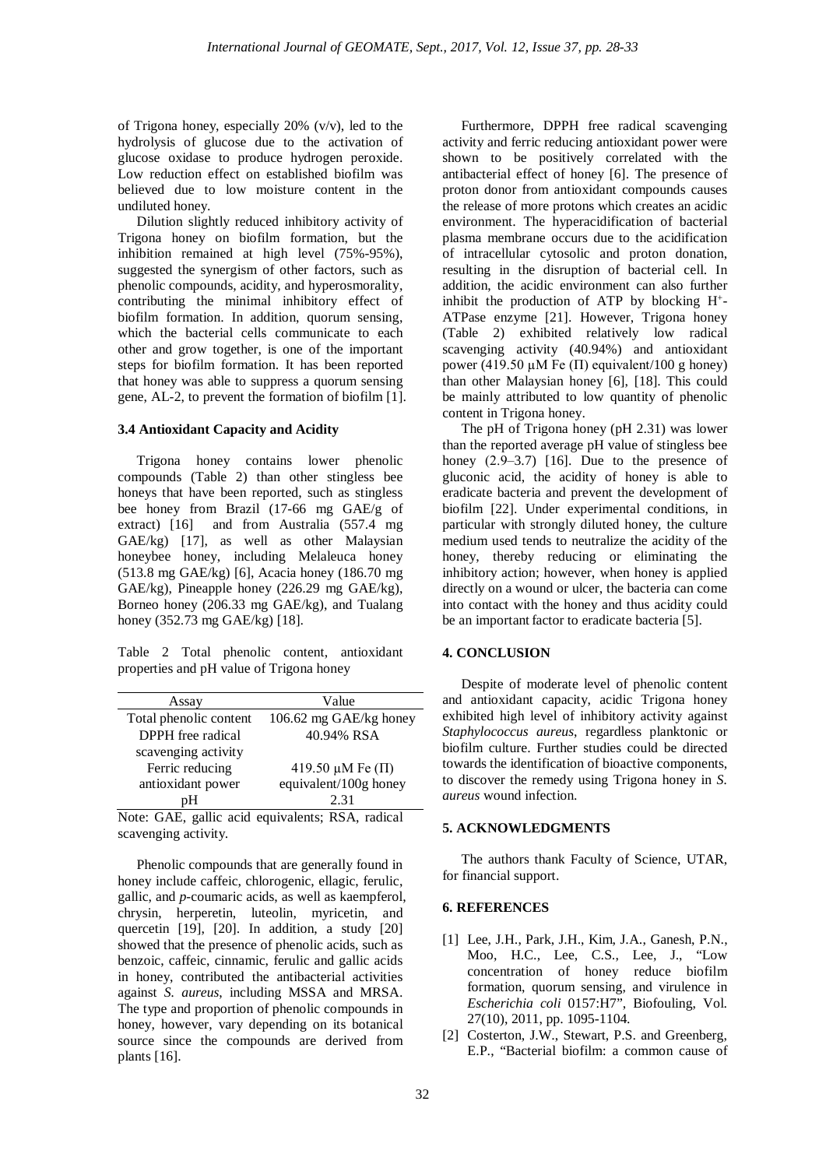of Trigona honey, especially 20% (v/v), led to the hydrolysis of glucose due to the activation of glucose oxidase to produce hydrogen peroxide. Low reduction effect on established biofilm was believed due to low moisture content in the undiluted honey.

Dilution slightly reduced inhibitory activity of Trigona honey on biofilm formation, but the inhibition remained at high level (75%-95%), suggested the synergism of other factors, such as phenolic compounds, acidity, and hyperosmorality, contributing the minimal inhibitory effect of biofilm formation. In addition, quorum sensing, which the bacterial cells communicate to each other and grow together, is one of the important steps for biofilm formation. It has been reported that honey was able to suppress a quorum sensing gene, AL-2, to prevent the formation of biofilm [1].

#### **3.4 Antioxidant Capacity and Acidity**

Trigona honey contains lower phenolic compounds (Table 2) than other stingless bee honeys that have been reported, such as stingless bee honey from Brazil (17-66 mg GAE/g of extract) [16] and from Australia (557.4 mg GAE/kg) [17], as well as other Malaysian honeybee honey, including Melaleuca honey (513.8 mg GAE/kg) [6], Acacia honey (186.70 mg GAE/kg), Pineapple honey (226.29 mg GAE/kg), Borneo honey (206.33 mg GAE/kg), and Tualang honey (352.73 mg GAE/kg) [18].

Table 2 Total phenolic content, antioxidant properties and pH value of Trigona honey

| Assay                  | Value                       |  |
|------------------------|-----------------------------|--|
| Total phenolic content | 106.62 mg GAE/kg honey      |  |
| DPPH free radical      | 40.94% RSA                  |  |
| scavenging activity    |                             |  |
| Ferric reducing        | 419.50 $\mu$ M Fe ( $\Pi$ ) |  |
| antioxidant power      | equivalent/100g honey       |  |
|                        | 2.31                        |  |

Note: GAE, gallic acid equivalents; RSA, radical scavenging activity.

Phenolic compounds that are generally found in honey include caffeic, chlorogenic, ellagic, ferulic, gallic, and *p*-coumaric acids, as well as kaempferol, chrysin, herperetin, luteolin, myricetin, and quercetin [19], [20]. In addition, a study [20] showed that the presence of phenolic acids, such as benzoic, caffeic, cinnamic, ferulic and gallic acids in honey, contributed the antibacterial activities against *S. aureus*, including MSSA and MRSA. The type and proportion of phenolic compounds in honey, however, vary depending on its botanical source since the compounds are derived from plants [16].

Furthermore, DPPH free radical scavenging activity and ferric reducing antioxidant power were shown to be positively correlated with the antibacterial effect of honey [6]. The presence of proton donor from antioxidant compounds causes the release of more protons which creates an acidic environment. The hyperacidification of bacterial plasma membrane occurs due to the acidification of intracellular cytosolic and proton donation, resulting in the disruption of bacterial cell. In addition, the acidic environment can also further inhibit the production of ATP by blocking  $H^+$ -ATPase enzyme [21]. However, Trigona honey (Table 2) exhibited relatively low radical scavenging activity (40.94%) and antioxidant power (419.50  $\mu$ M Fe ( $\Pi$ ) equivalent/100 g honey) than other Malaysian honey [6], [18]. This could be mainly attributed to low quantity of phenolic content in Trigona honey.

The pH of Trigona honey (pH 2.31) was lower than the reported average pH value of stingless bee honey  $(2.9-3.7)$  [16]. Due to the presence of gluconic acid, the acidity of honey is able to eradicate bacteria and prevent the development of biofilm [22]. Under experimental conditions, in particular with strongly diluted honey, the culture medium used tends to neutralize the acidity of the honey, thereby reducing or eliminating the inhibitory action; however, when honey is applied directly on a wound or ulcer, the bacteria can come into contact with the honey and thus acidity could be an important factor to eradicate bacteria [5].

#### **4. CONCLUSION**

Despite of moderate level of phenolic content and antioxidant capacity, acidic Trigona honey exhibited high level of inhibitory activity against *Staphylococcus aureus*, regardless planktonic or biofilm culture. Further studies could be directed towards the identification of bioactive components, to discover the remedy using Trigona honey in *S. aureus* wound infection.

### **5. ACKNOWLEDGMENTS**

The authors thank Faculty of Science, UTAR, for financial support.

# **6. REFERENCES**

- [1] Lee, J.H., Park, J.H., Kim, J.A., Ganesh, P.N., Moo, H.C., Lee, C.S., Lee, J., "Low concentration of honey reduce biofilm formation, quorum sensing, and virulence in *Escherichia coli* 0157:H7", Biofouling, Vol. 27(10), 2011, pp. 1095-1104.
- [2] Costerton, J.W., Stewart, P.S. and Greenberg, E.P., "Bacterial biofilm: a common cause of